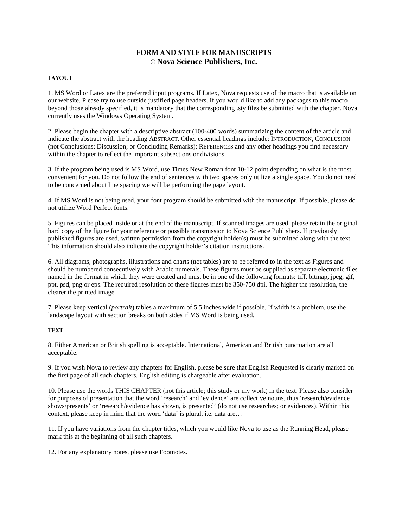# **FORM AND STYLE FOR MANUSCRIPTS © Nova Science Publishers, Inc.**

# **LAYOUT**

1. MS Word or Latex are the preferred input programs. If Latex, Nova requests use of the macro that is available on our website. Please try to use outside justified page headers. If you would like to add any packages to this macro beyond those already specified, it is mandatory that the corresponding .sty files be submitted with the chapter. Nova currently uses the Windows Operating System.

2. Please begin the chapter with a descriptive abstract (100-400 words) summarizing the content of the article and indicate the abstract with the heading ABSTRACT. Other essential headings include: INTRODUCTION, CONCLUSION (not Conclusions; Discussion; or Concluding Remarks); REFERENCES and any other headings you find necessary within the chapter to reflect the important subsections or divisions.

3. If the program being used is MS Word, use Times New Roman font 10-12 point depending on what is the most convenient for you. Do not follow the end of sentences with two spaces only utilize a single space. You do not need to be concerned about line spacing we will be performing the page layout.

4. If MS Word is not being used, your font program should be submitted with the manuscript. If possible, please do not utilize Word Perfect fonts.

5. Figures can be placed inside or at the end of the manuscript. If scanned images are used, please retain the original hard copy of the figure for your reference or possible transmission to Nova Science Publishers. If previously published figures are used, written permission from the copyright holder(s) must be submitted along with the text. This information should also indicate the copyright holder's citation instructions.

6. All diagrams, photographs, illustrations and charts (not tables) are to be referred to in the text as Figures and should be numbered consecutively with Arabic numerals. These figures must be supplied as separate electronic files named in the format in which they were created and must be in one of the following formats: tiff, bitmap, jpeg, gif, ppt, psd, png or eps. The required resolution of these figures must be 350-750 dpi. The higher the resolution, the clearer the printed image.

7. Please keep vertical (*portrait*) tables a maximum of 5.5 inches wide if possible. If width is a problem, use the landscape layout with section breaks on both sides if MS Word is being used.

#### **TEXT**

8. Either American or British spelling is acceptable. International, American and British punctuation are all acceptable.

9. If you wish Nova to review any chapters for English, please be sure that English Requested is clearly marked on the first page of all such chapters. English editing is chargeable after evaluation.

10. Please use the words THIS CHAPTER (not this article; this study or my work) in the text. Please also consider for purposes of presentation that the word 'research' and 'evidence' are collective nouns, thus 'research/evidence shows/presents' or 'research/evidence has shown, is presented' (do not use researches; or evidences). Within this context, please keep in mind that the word 'data' is plural, i.e. data are…

11. If you have variations from the chapter titles, which you would like Nova to use as the Running Head, please mark this at the beginning of all such chapters.

12. For any explanatory notes, please use Footnotes.